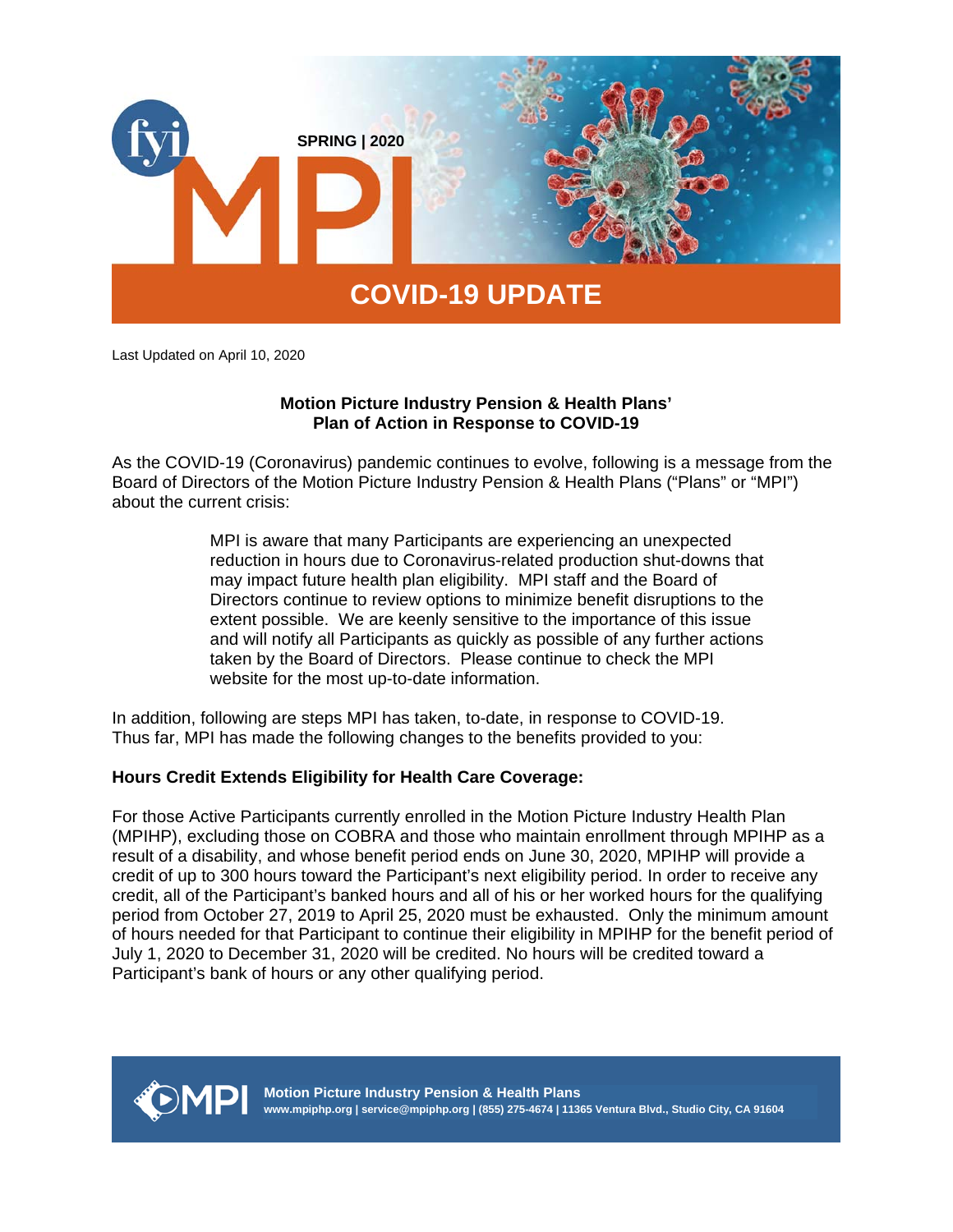

Last Updated on April 10, 2020

# **Motion Picture Industry Pension & Health Plans' Plan of Action in Response to COVID-19**

As the COVID-19 (Coronavirus) pandemic continues to evolve, following is a message from the Board of Directors of the Motion Picture Industry Pension & Health Plans ("Plans" or "MPI") about the current crisis:

> MPI is aware that many Participants are experiencing an unexpected reduction in hours due to Coronavirus-related production shut-downs that may impact future health plan eligibility. MPI staff and the Board of Directors continue to review options to minimize benefit disruptions to the extent possible. We are keenly sensitive to the importance of this issue and will notify all Participants as quickly as possible of any further actions taken by the Board of Directors. Please continue to check the MPI website for the most up-to-date information.

In addition, following are steps MPI has taken, to-date, in response to COVID-19. Thus far, MPI has made the following changes to the benefits provided to you:

# **Hours Credit Extends Eligibility for Health Care Coverage:**

For those Active Participants currently enrolled in the Motion Picture Industry Health Plan (MPIHP), excluding those on COBRA and those who maintain enrollment through MPIHP as a result of a disability, and whose benefit period ends on June 30, 2020, MPIHP will provide a credit of up to 300 hours toward the Participant's next eligibility period. In order to receive any credit, all of the Participant's banked hours and all of his or her worked hours for the qualifying period from October 27, 2019 to April 25, 2020 must be exhausted. Only the minimum amount of hours needed for that Participant to continue their eligibility in MPIHP for the benefit period of July 1, 2020 to December 31, 2020 will be credited. No hours will be credited toward a Participant's bank of hours or any other qualifying period.



**Motion Picture Industry Pension & Health Plans www.mpiphp.org | service@mpiphp.org | (855) 275-4674 | 11365 Ventura Blvd., Studio City, CA 91604**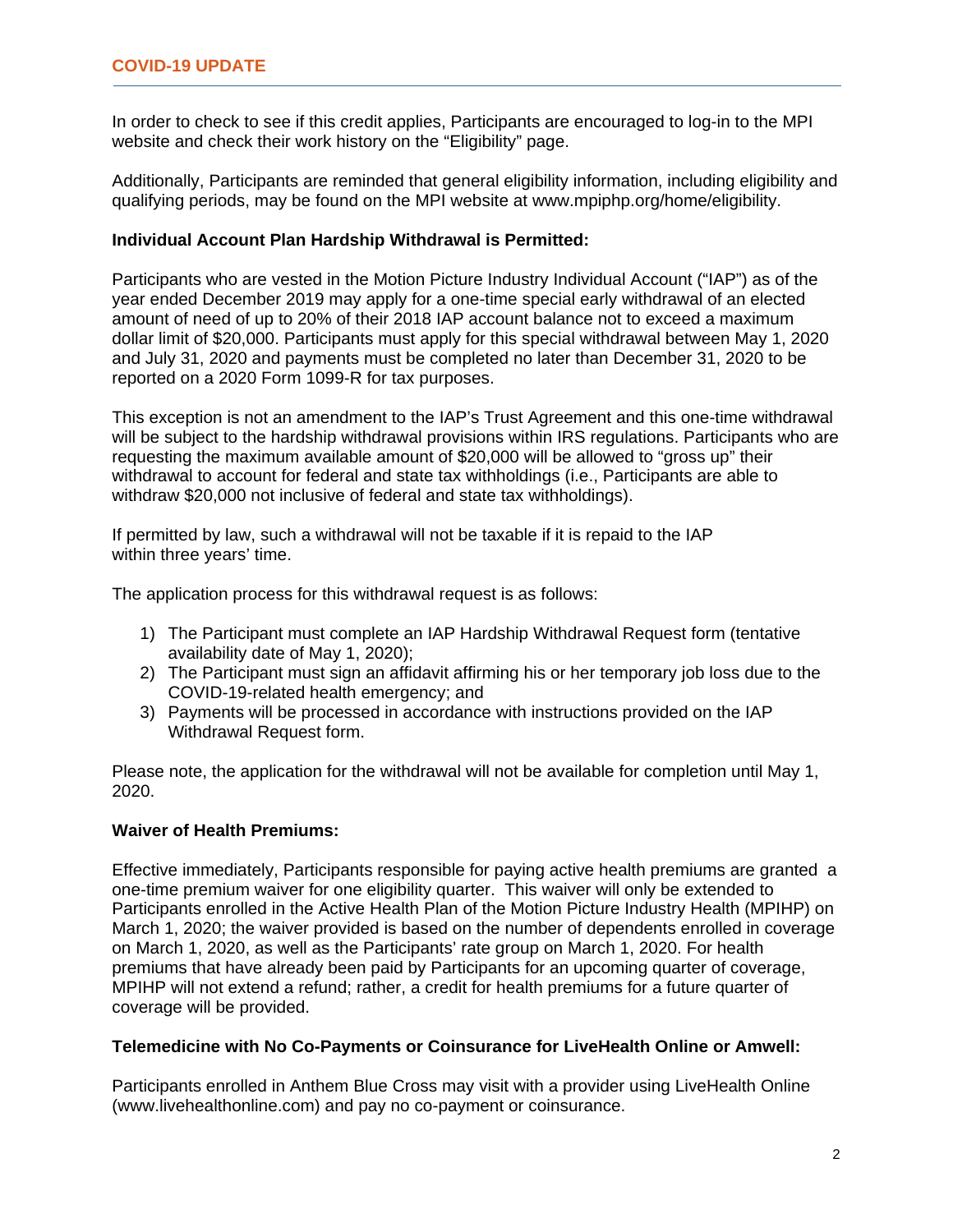In order to check to see if this credit applies, Participants are encouraged to log-in to the MPI website and check their work history on the "Eligibility" page.

Additionally, Participants are reminded that general eligibility information, including eligibility and qualifying periods, may be found on the MPI website at www.mpiphp.org/home/eligibility.

# **Individual Account Plan Hardship Withdrawal is Permitted:**

Participants who are vested in the Motion Picture Industry Individual Account ("IAP") as of the year ended December 2019 may apply for a one-time special early withdrawal of an elected amount of need of up to 20% of their 2018 IAP account balance not to exceed a maximum dollar limit of \$20,000. Participants must apply for this special withdrawal between May 1, 2020 and July 31, 2020 and payments must be completed no later than December 31, 2020 to be reported on a 2020 Form 1099-R for tax purposes.

This exception is not an amendment to the IAP's Trust Agreement and this one-time withdrawal will be subject to the hardship withdrawal provisions within IRS regulations. Participants who are requesting the maximum available amount of \$20,000 will be allowed to "gross up" their withdrawal to account for federal and state tax withholdings (i.e., Participants are able to withdraw \$20,000 not inclusive of federal and state tax withholdings).

If permitted by law, such a withdrawal will not be taxable if it is repaid to the IAP within three years' time.

The application process for this withdrawal request is as follows:

- 1) The Participant must complete an IAP Hardship Withdrawal Request form (tentative availability date of May 1, 2020);
- 2) The Participant must sign an affidavit affirming his or her temporary job loss due to the COVID-19-related health emergency; and
- 3) Payments will be processed in accordance with instructions provided on the IAP Withdrawal Request form.

Please note, the application for the withdrawal will not be available for completion until May 1, 2020.

# **Waiver of Health Premiums:**

Effective immediately, Participants responsible for paying active health premiums are granted a one-time premium waiver for one eligibility quarter. This waiver will only be extended to Participants enrolled in the Active Health Plan of the Motion Picture Industry Health (MPIHP) on March 1, 2020; the waiver provided is based on the number of dependents enrolled in coverage on March 1, 2020, as well as the Participants' rate group on March 1, 2020. For health premiums that have already been paid by Participants for an upcoming quarter of coverage, MPIHP will not extend a refund; rather, a credit for health premiums for a future quarter of coverage will be provided.

## **Telemedicine with No Co-Payments or Coinsurance for LiveHealth Online or Amwell:**

Participants enrolled in Anthem Blue Cross may visit with a provider using LiveHealth Online (www.livehealthonline.com) and pay no co-payment or coinsurance.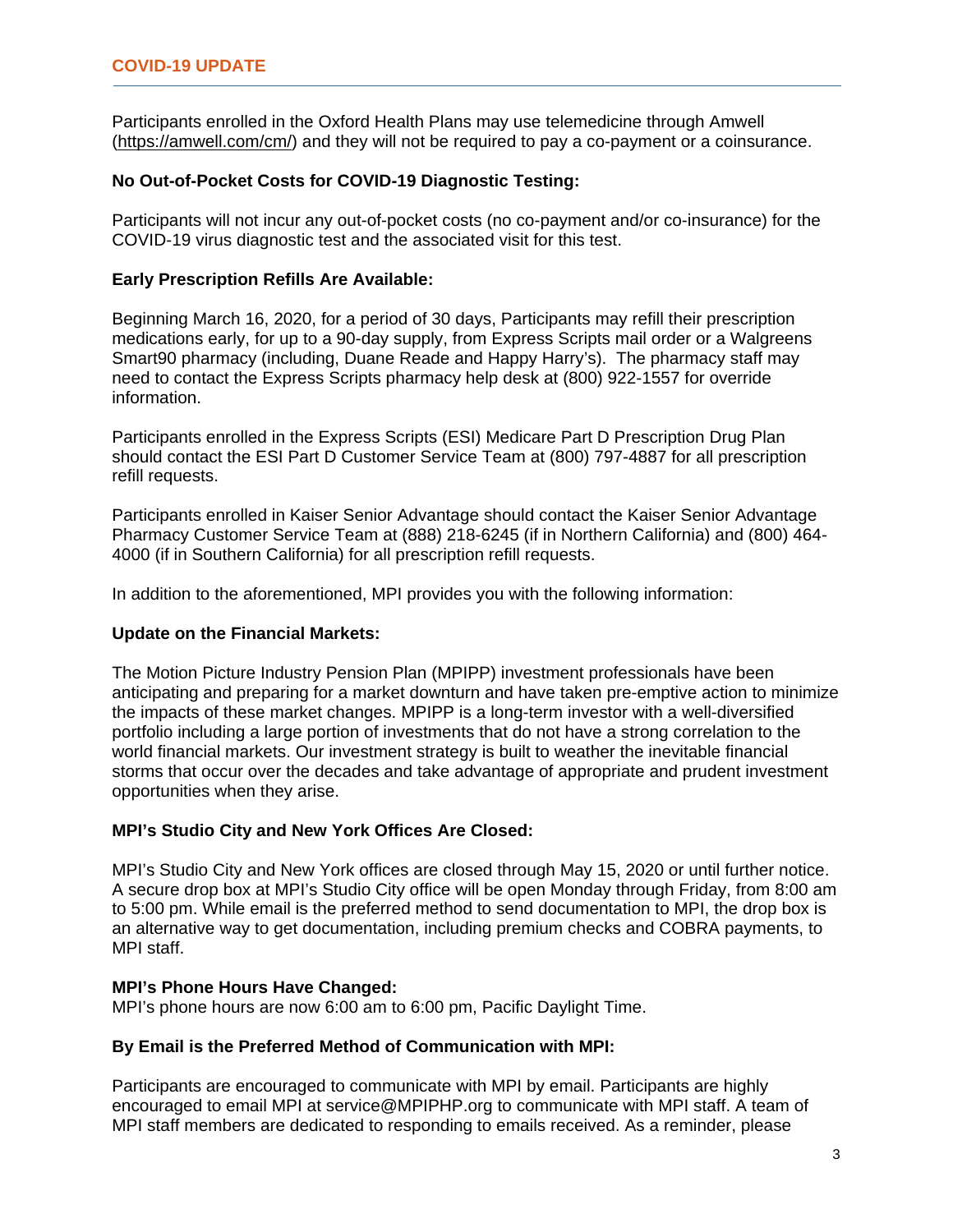Participants enrolled in the Oxford Health Plans may use telemedicine through Amwell (https://amwell.com/cm/) and they will not be required to pay a co-payment or a coinsurance.

## **No Out-of-Pocket Costs for COVID-19 Diagnostic Testing:**

Participants will not incur any out-of-pocket costs (no co-payment and/or co-insurance) for the COVID-19 virus diagnostic test and the associated visit for this test.

### **Early Prescription Refills Are Available:**

Beginning March 16, 2020, for a period of 30 days, Participants may refill their prescription medications early, for up to a 90-day supply, from Express Scripts mail order or a Walgreens Smart90 pharmacy (including, Duane Reade and Happy Harry's). The pharmacy staff may need to contact the Express Scripts pharmacy help desk at (800) 922-1557 for override information.

Participants enrolled in the Express Scripts (ESI) Medicare Part D Prescription Drug Plan should contact the ESI Part D Customer Service Team at (800) 797-4887 for all prescription refill requests.

Participants enrolled in Kaiser Senior Advantage should contact the Kaiser Senior Advantage Pharmacy Customer Service Team at (888) 218-6245 (if in Northern California) and (800) 464- 4000 (if in Southern California) for all prescription refill requests.

In addition to the aforementioned, MPI provides you with the following information:

#### **Update on the Financial Markets:**

The Motion Picture Industry Pension Plan (MPIPP) investment professionals have been anticipating and preparing for a market downturn and have taken pre-emptive action to minimize the impacts of these market changes. MPIPP is a long-term investor with a well-diversified portfolio including a large portion of investments that do not have a strong correlation to the world financial markets. Our investment strategy is built to weather the inevitable financial storms that occur over the decades and take advantage of appropriate and prudent investment opportunities when they arise.

#### **MPI's Studio City and New York Offices Are Closed:**

MPI's Studio City and New York offices are closed through May 15, 2020 or until further notice. A secure drop box at MPI's Studio City office will be open Monday through Friday, from 8:00 am to 5:00 pm. While email is the preferred method to send documentation to MPI, the drop box is an alternative way to get documentation, including premium checks and COBRA payments, to MPI staff.

#### **MPI's Phone Hours Have Changed:**

MPI's phone hours are now 6:00 am to 6:00 pm, Pacific Daylight Time.

# **By Email is the Preferred Method of Communication with MPI:**

Participants are encouraged to communicate with MPI by email. Participants are highly encouraged to email MPI at service@MPIPHP.org to communicate with MPI staff. A team of MPI staff members are dedicated to responding to emails received. As a reminder, please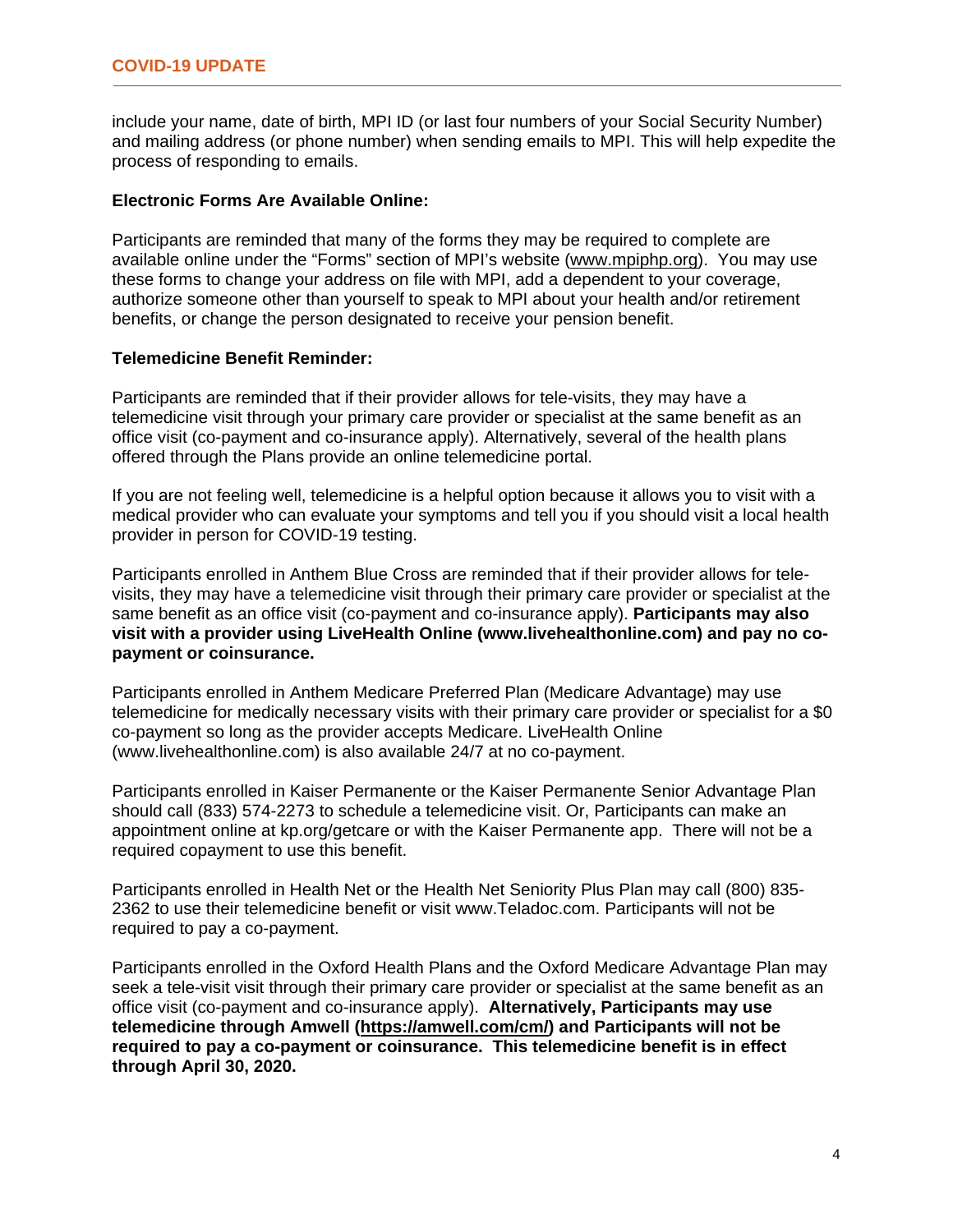include your name, date of birth, MPI ID (or last four numbers of your Social Security Number) and mailing address (or phone number) when sending emails to MPI. This will help expedite the process of responding to emails.

### **Electronic Forms Are Available Online:**

Participants are reminded that many of the forms they may be required to complete are available online under the "Forms" section of MPI's website (www.mpiphp.org). You may use these forms to change your address on file with MPI, add a dependent to your coverage, authorize someone other than yourself to speak to MPI about your health and/or retirement benefits, or change the person designated to receive your pension benefit.

## **Telemedicine Benefit Reminder:**

Participants are reminded that if their provider allows for tele-visits, they may have a telemedicine visit through your primary care provider or specialist at the same benefit as an office visit (co-payment and co-insurance apply). Alternatively, several of the health plans offered through the Plans provide an online telemedicine portal.

If you are not feeling well, telemedicine is a helpful option because it allows you to visit with a medical provider who can evaluate your symptoms and tell you if you should visit a local health provider in person for COVID-19 testing.

Participants enrolled in Anthem Blue Cross are reminded that if their provider allows for televisits, they may have a telemedicine visit through their primary care provider or specialist at the same benefit as an office visit (co-payment and co-insurance apply). **Participants may also visit with a provider using LiveHealth Online (www.livehealthonline.com) and pay no copayment or coinsurance.**

Participants enrolled in Anthem Medicare Preferred Plan (Medicare Advantage) may use telemedicine for medically necessary visits with their primary care provider or specialist for a \$0 co-payment so long as the provider accepts Medicare. LiveHealth Online (www.livehealthonline.com) is also available 24/7 at no co-payment.

Participants enrolled in Kaiser Permanente or the Kaiser Permanente Senior Advantage Plan should call (833) 574-2273 to schedule a telemedicine visit. Or, Participants can make an appointment online at kp.org/getcare or with the Kaiser Permanente app. There will not be a required copayment to use this benefit.

Participants enrolled in Health Net or the Health Net Seniority Plus Plan may call (800) 835- 2362 to use their telemedicine benefit or visit www.Teladoc.com. Participants will not be required to pay a co-payment.

Participants enrolled in the Oxford Health Plans and the Oxford Medicare Advantage Plan may seek a tele-visit visit through their primary care provider or specialist at the same benefit as an office visit (co-payment and co-insurance apply). **Alternatively, Participants may use telemedicine through Amwell (https://amwell.com/cm/) and Participants will not be required to pay a co-payment or coinsurance. This telemedicine benefit is in effect through April 30, 2020.**